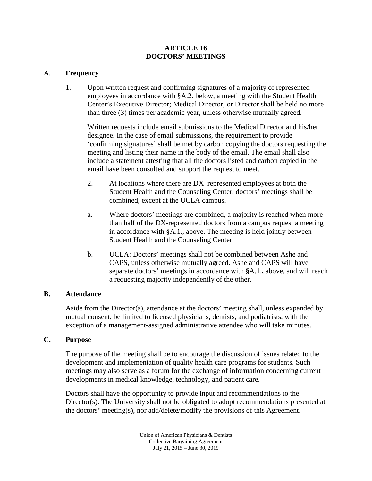### **ARTICLE 16 DOCTORS' MEETINGS**

# A. **Frequency**

1. Upon written request and confirming signatures of a majority of represented employees in accordance with §A.2. below, a meeting with the Student Health Center's Executive Director; Medical Director; or Director shall be held no more than three (3) times per academic year, unless otherwise mutually agreed.

Written requests include email submissions to the Medical Director and his/her designee. In the case of email submissions, the requirement to provide 'confirming signatures' shall be met by carbon copying the doctors requesting the meeting and listing their name in the body of the email. The email shall also include a statement attesting that all the doctors listed and carbon copied in the email have been consulted and support the request to meet.

- 2. At locations where there are DX–represented employees at both the Student Health and the Counseling Center, doctors' meetings shall be combined, except at the UCLA campus.
- a. Where doctors' meetings are combined, a majority is reached when more than half of the DX-represented doctors from a campus request a meeting in accordance with **§**A.1., above. The meeting is held jointly between Student Health and the Counseling Center.
- b. UCLA: Doctors' meetings shall not be combined between Ashe and CAPS, unless otherwise mutually agreed. Ashe and CAPS will have separate doctors' meetings in accordance with **§**A.1.**,** above, and will reach a requesting majority independently of the other.

## **B. Attendance**

Aside from the Director(s), attendance at the doctors' meeting shall, unless expanded by mutual consent, be limited to licensed physicians, dentists, and podiatrists, with the exception of a management-assigned administrative attendee who will take minutes.

## **C. Purpose**

The purpose of the meeting shall be to encourage the discussion of issues related to the development and implementation of quality health care programs for students. Such meetings may also serve as a forum for the exchange of information concerning current developments in medical knowledge, technology, and patient care.

Doctors shall have the opportunity to provide input and recommendations to the Director(s). The University shall not be obligated to adopt recommendations presented at the doctors' meeting(s), nor add/delete/modify the provisions of this Agreement.